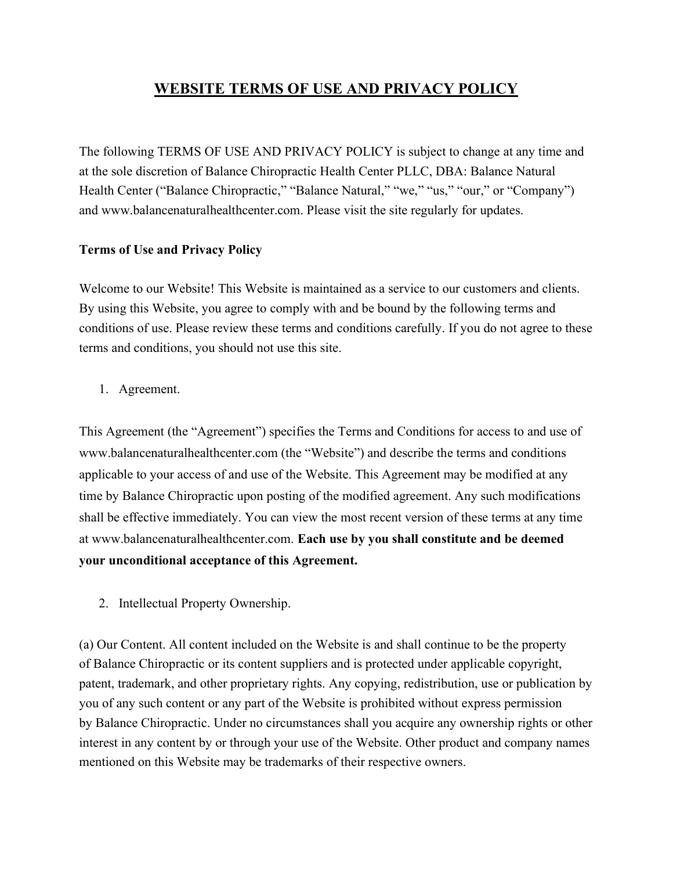# WEBSITE TERMS OF USE AND PRIVACY POLICY

The following TERMS OF USE AND PRIVACY POLICY is subject to change at any time and at the sole discretion of Balance Chiropractic Health Center PLLC, DBA: Balance Natural Health Center ("Balance Chiropractic," "Balance Natural," "we," "us," "our," or "Company") and www.balancenaturalhealthcenter.com. Please visit the site regularly for updates.

## Terms of Use and Privacy Policy

Welcome to our Website! This Website is maintained as a service to our customers and clients. By using this Website, you agree to comply with and be bound by the following terms and conditions of use. Please review these terms and conditions carefully. If you do not agree to these terms and conditions, you should not use this site.

1. Agreement.

This Agreement (the "Agreement") specifies the Terms and Conditions for access to and use of www.balancenaturalhealthcenter.com (the "Website") and describe the terms and conditions applicable to your access of and use of the Website. This Agreement may be modified at any time by Balance Chiropractic upon posting of the modified agreement. Any such modifications shall be effective immediately. You can view the most recent version of these terms at any time at www.balancenaturalhealthcenter.com. Each use by you shall constitute and be deemed your unconditional acceptance of this Agreement.

2. Intellectual Property Ownership.

(a) Our Content. All content included on the Website is and shall continue to be the property of Balance Chiropractic or its content suppliers and is protected under applicable copyright, patent, trademark, and other proprietary rights. Any copying, redistribution, use or publication by you of any such content or any part of the Website is prohibited without express permission by Balance Chiropractic. Under no circumstances shall you acquire any ownership rights or other interest in any content by or through your use of the Website. Other product and company names mentioned on this Website may be trademarks of their respective owners.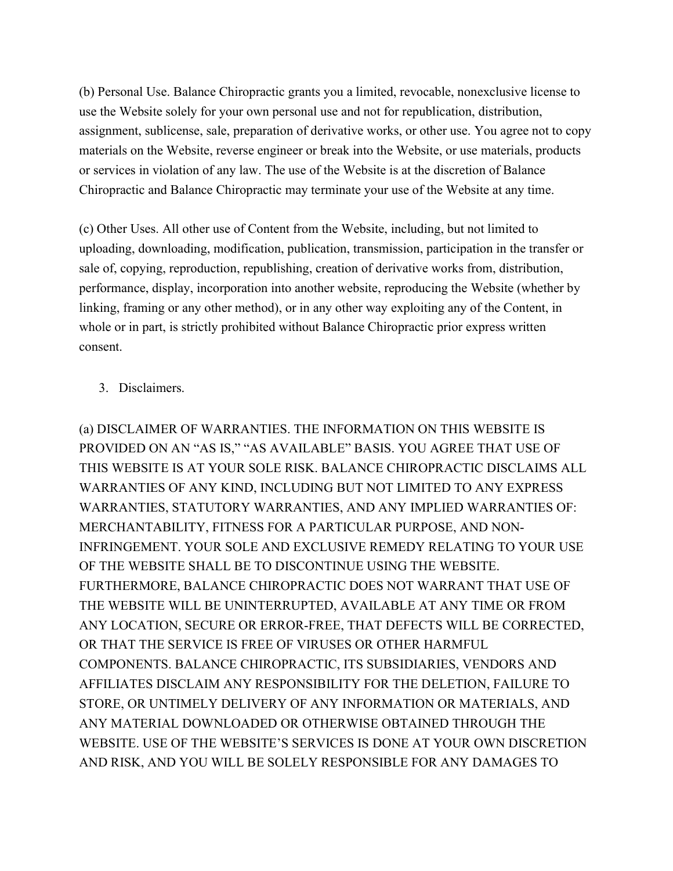(b) Personal Use. Balance Chiropractic grants you a limited, revocable, nonexclusive license to use the Website solely for your own personal use and not for republication, distribution, assignment, sublicense, sale, preparation of derivative works, or other use. You agree not to copy materials on the Website, reverse engineer or break into the Website, or use materials, products or services in violation of any law. The use of the Website is at the discretion of Balance Chiropractic and Balance Chiropractic may terminate your use of the Website at any time.

(c) Other Uses. All other use of Content from the Website, including, but not limited to uploading, downloading, modification, publication, transmission, participation in the transfer or sale of, copying, reproduction, republishing, creation of derivative works from, distribution, performance, display, incorporation into another website, reproducing the Website (whether by linking, framing or any other method), or in any other way exploiting any of the Content, in whole or in part, is strictly prohibited without Balance Chiropractic prior express written consent.

## 3. Disclaimers.

(a) DISCLAIMER OF WARRANTIES. THE INFORMATION ON THIS WEBSITE IS PROVIDED ON AN "AS IS," "AS AVAILABLE" BASIS. YOU AGREE THAT USE OF THIS WEBSITE IS AT YOUR SOLE RISK. BALANCE CHIROPRACTIC DISCLAIMS ALL WARRANTIES OF ANY KIND, INCLUDING BUT NOT LIMITED TO ANY EXPRESS WARRANTIES, STATUTORY WARRANTIES, AND ANY IMPLIED WARRANTIES OF: MERCHANTABILITY, FITNESS FOR A PARTICULAR PURPOSE, AND NON-INFRINGEMENT. YOUR SOLE AND EXCLUSIVE REMEDY RELATING TO YOUR USE OF THE WEBSITE SHALL BE TO DISCONTINUE USING THE WEBSITE. FURTHERMORE, BALANCE CHIROPRACTIC DOES NOT WARRANT THAT USE OF THE WEBSITE WILL BE UNINTERRUPTED, AVAILABLE AT ANY TIME OR FROM ANY LOCATION, SECURE OR ERROR-FREE, THAT DEFECTS WILL BE CORRECTED, OR THAT THE SERVICE IS FREE OF VIRUSES OR OTHER HARMFUL COMPONENTS. BALANCE CHIROPRACTIC, ITS SUBSIDIARIES, VENDORS AND AFFILIATES DISCLAIM ANY RESPONSIBILITY FOR THE DELETION, FAILURE TO STORE, OR UNTIMELY DELIVERY OF ANY INFORMATION OR MATERIALS, AND ANY MATERIAL DOWNLOADED OR OTHERWISE OBTAINED THROUGH THE WEBSITE. USE OF THE WEBSITE'S SERVICES IS DONE AT YOUR OWN DISCRETION AND RISK, AND YOU WILL BE SOLELY RESPONSIBLE FOR ANY DAMAGES TO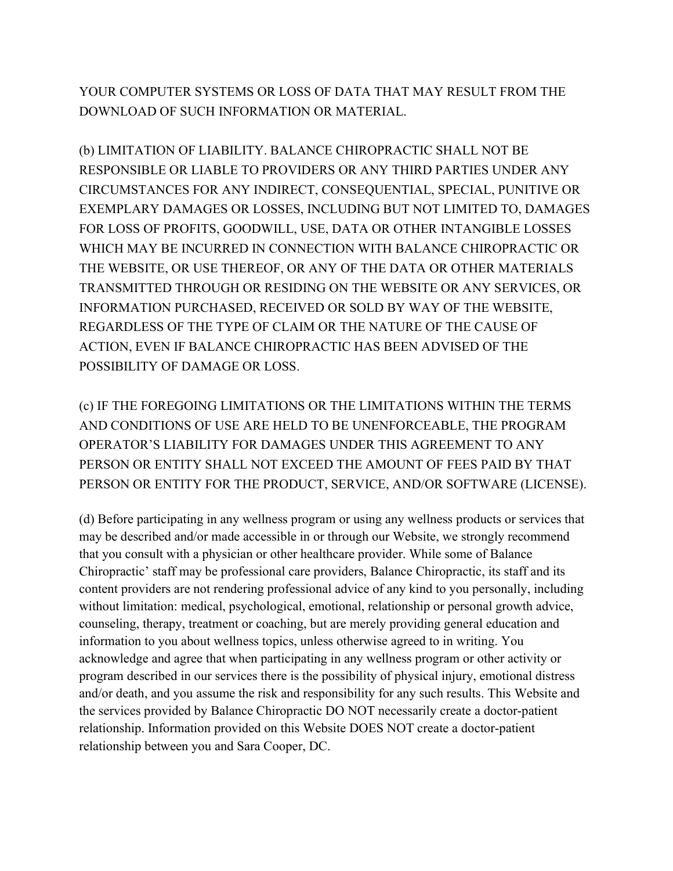YOUR COMPUTER SYSTEMS OR LOSS OF DATA THAT MAY RESULT FROM THE DOWNLOAD OF SUCH INFORMATION OR MATERIAL.

(b) LIMITATION OF LIABILITY. BALANCE CHIROPRACTIC SHALL NOT BE RESPONSIBLE OR LIABLE TO PROVIDERS OR ANY THIRD PARTIES UNDER ANY CIRCUMSTANCES FOR ANY INDIRECT, CONSEQUENTIAL, SPECIAL, PUNITIVE OR EXEMPLARY DAMAGES OR LOSSES, INCLUDING BUT NOT LIMITED TO, DAMAGES FOR LOSS OF PROFITS, GOODWILL, USE, DATA OR OTHER INTANGIBLE LOSSES WHICH MAY BE INCURRED IN CONNECTION WITH BALANCE CHIROPRACTIC OR THE WEBSITE, OR USE THEREOF, OR ANY OF THE DATA OR OTHER MATERIALS TRANSMITTED THROUGH OR RESIDING ON THE WEBSITE OR ANY SERVICES, OR INFORMATION PURCHASED, RECEIVED OR SOLD BY WAY OF THE WEBSITE, REGARDLESS OF THE TYPE OF CLAIM OR THE NATURE OF THE CAUSE OF ACTION, EVEN IF BALANCE CHIROPRACTIC HAS BEEN ADVISED OF THE POSSIBILITY OF DAMAGE OR LOSS.

(c) IF THE FOREGOING LIMITATIONS OR THE LIMITATIONS WITHIN THE TERMS AND CONDITIONS OF USE ARE HELD TO BE UNENFORCEABLE, THE PROGRAM OPERATOR'S LIABILITY FOR DAMAGES UNDER THIS AGREEMENT TO ANY PERSON OR ENTITY SHALL NOT EXCEED THE AMOUNT OF FEES PAID BY THAT PERSON OR ENTITY FOR THE PRODUCT, SERVICE, AND/OR SOFTWARE (LICENSE).

(d) Before participating in any wellness program or using any wellness products or services that may be described and/or made accessible in or through our Website, we strongly recommend that you consult with a physician or other healthcare provider. While some of Balance Chiropractic' staff may be professional care providers, Balance Chiropractic, its staff and its content providers are not rendering professional advice of any kind to you personally, including without limitation: medical, psychological, emotional, relationship or personal growth advice, counseling, therapy, treatment or coaching, but are merely providing general education and information to you about wellness topics, unless otherwise agreed to in writing. You acknowledge and agree that when participating in any wellness program or other activity or program described in our services there is the possibility of physical injury, emotional distress and/or death, and you assume the risk and responsibility for any such results. This Website and the services provided by Balance Chiropractic DO NOT necessarily create a doctor-patient relationship. Information provided on this Website DOES NOT create a doctor-patient relationship between you and Sara Cooper, DC.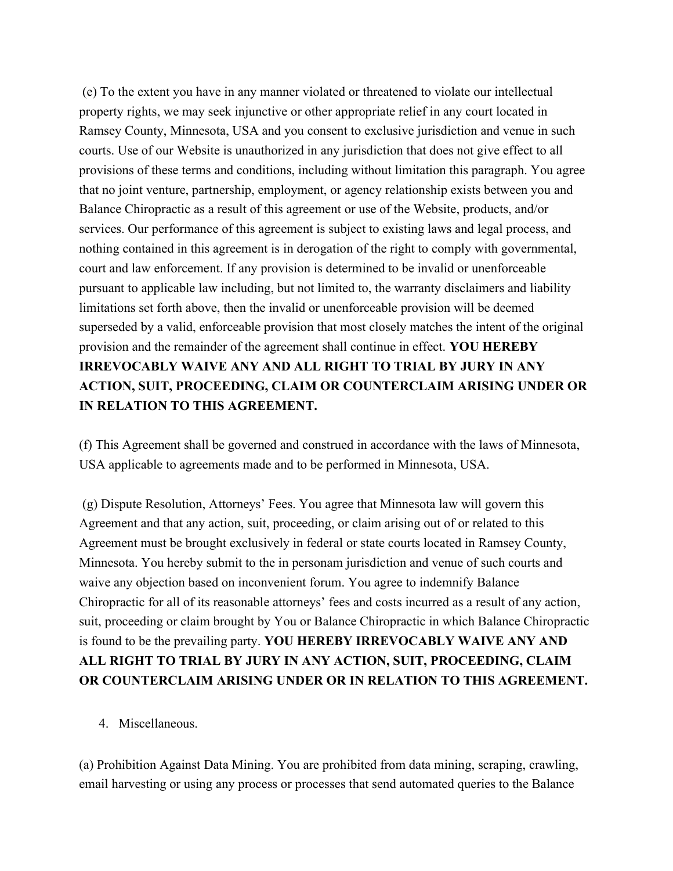(e) To the extent you have in any manner violated or threatened to violate our intellectual property rights, we may seek injunctive or other appropriate relief in any court located in Ramsey County, Minnesota, USA and you consent to exclusive jurisdiction and venue in such courts. Use of our Website is unauthorized in any jurisdiction that does not give effect to all provisions of these terms and conditions, including without limitation this paragraph. You agree that no joint venture, partnership, employment, or agency relationship exists between you and Balance Chiropractic as a result of this agreement or use of the Website, products, and/or services. Our performance of this agreement is subject to existing laws and legal process, and nothing contained in this agreement is in derogation of the right to comply with governmental, court and law enforcement. If any provision is determined to be invalid or unenforceable pursuant to applicable law including, but not limited to, the warranty disclaimers and liability limitations set forth above, then the invalid or unenforceable provision will be deemed superseded by a valid, enforceable provision that most closely matches the intent of the original provision and the remainder of the agreement shall continue in effect. YOU HEREBY IRREVOCABLY WAIVE ANY AND ALL RIGHT TO TRIAL BY JURY IN ANY ACTION, SUIT, PROCEEDING, CLAIM OR COUNTERCLAIM ARISING UNDER OR IN RELATION TO THIS AGREEMENT.

(f) This Agreement shall be governed and construed in accordance with the laws of Minnesota, USA applicable to agreements made and to be performed in Minnesota, USA.

 (g) Dispute Resolution, Attorneys' Fees. You agree that Minnesota law will govern this Agreement and that any action, suit, proceeding, or claim arising out of or related to this Agreement must be brought exclusively in federal or state courts located in Ramsey County, Minnesota. You hereby submit to the in personam jurisdiction and venue of such courts and waive any objection based on inconvenient forum. You agree to indemnify Balance Chiropractic for all of its reasonable attorneys' fees and costs incurred as a result of any action, suit, proceeding or claim brought by You or Balance Chiropractic in which Balance Chiropractic is found to be the prevailing party. YOU HEREBY IRREVOCABLY WAIVE ANY AND ALL RIGHT TO TRIAL BY JURY IN ANY ACTION, SUIT, PROCEEDING, CLAIM OR COUNTERCLAIM ARISING UNDER OR IN RELATION TO THIS AGREEMENT.

4. Miscellaneous.

(a) Prohibition Against Data Mining. You are prohibited from data mining, scraping, crawling, email harvesting or using any process or processes that send automated queries to the Balance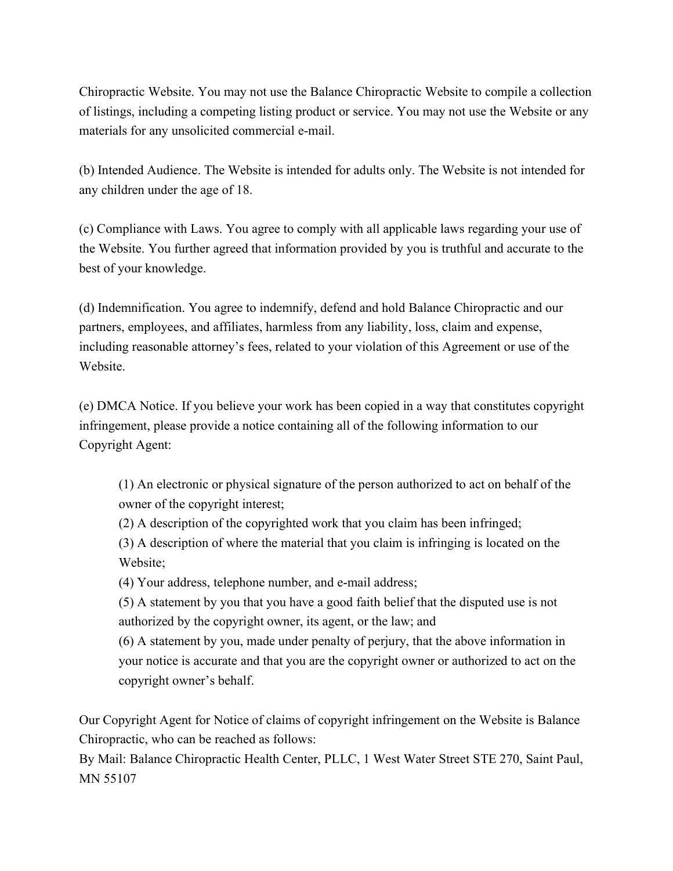Chiropractic Website. You may not use the Balance Chiropractic Website to compile a collection of listings, including a competing listing product or service. You may not use the Website or any materials for any unsolicited commercial e-mail.

(b) Intended Audience. The Website is intended for adults only. The Website is not intended for any children under the age of 18.

(c) Compliance with Laws. You agree to comply with all applicable laws regarding your use of the Website. You further agreed that information provided by you is truthful and accurate to the best of your knowledge.

(d) Indemnification. You agree to indemnify, defend and hold Balance Chiropractic and our partners, employees, and affiliates, harmless from any liability, loss, claim and expense, including reasonable attorney's fees, related to your violation of this Agreement or use of the Website.

(e) DMCA Notice. If you believe your work has been copied in a way that constitutes copyright infringement, please provide a notice containing all of the following information to our Copyright Agent:

(1) An electronic or physical signature of the person authorized to act on behalf of the owner of the copyright interest;

(2) A description of the copyrighted work that you claim has been infringed;

(3) A description of where the material that you claim is infringing is located on the Website;

(4) Your address, telephone number, and e-mail address;

(5) A statement by you that you have a good faith belief that the disputed use is not authorized by the copyright owner, its agent, or the law; and

(6) A statement by you, made under penalty of perjury, that the above information in your notice is accurate and that you are the copyright owner or authorized to act on the copyright owner's behalf.

Our Copyright Agent for Notice of claims of copyright infringement on the Website is Balance Chiropractic, who can be reached as follows:

By Mail: Balance Chiropractic Health Center, PLLC, 1 West Water Street STE 270, Saint Paul, MN 55107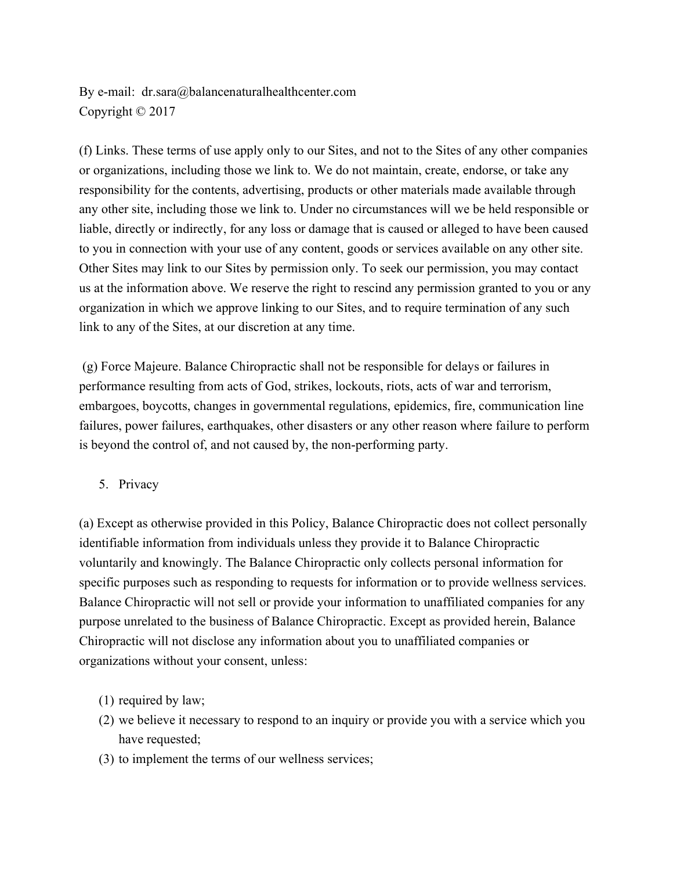By e-mail: dr.sara@balancenaturalhealthcenter.com Copyright © 2017

(f) Links. These terms of use apply only to our Sites, and not to the Sites of any other companies or organizations, including those we link to. We do not maintain, create, endorse, or take any responsibility for the contents, advertising, products or other materials made available through any other site, including those we link to. Under no circumstances will we be held responsible or liable, directly or indirectly, for any loss or damage that is caused or alleged to have been caused to you in connection with your use of any content, goods or services available on any other site. Other Sites may link to our Sites by permission only. To seek our permission, you may contact us at the information above. We reserve the right to rescind any permission granted to you or any organization in which we approve linking to our Sites, and to require termination of any such link to any of the Sites, at our discretion at any time.

 (g) Force Majeure. Balance Chiropractic shall not be responsible for delays or failures in performance resulting from acts of God, strikes, lockouts, riots, acts of war and terrorism, embargoes, boycotts, changes in governmental regulations, epidemics, fire, communication line failures, power failures, earthquakes, other disasters or any other reason where failure to perform is beyond the control of, and not caused by, the non-performing party.

5. Privacy

(a) Except as otherwise provided in this Policy, Balance Chiropractic does not collect personally identifiable information from individuals unless they provide it to Balance Chiropractic voluntarily and knowingly. The Balance Chiropractic only collects personal information for specific purposes such as responding to requests for information or to provide wellness services. Balance Chiropractic will not sell or provide your information to unaffiliated companies for any purpose unrelated to the business of Balance Chiropractic. Except as provided herein, Balance Chiropractic will not disclose any information about you to unaffiliated companies or organizations without your consent, unless:

- (1) required by law;
- (2) we believe it necessary to respond to an inquiry or provide you with a service which you have requested:
- (3) to implement the terms of our wellness services;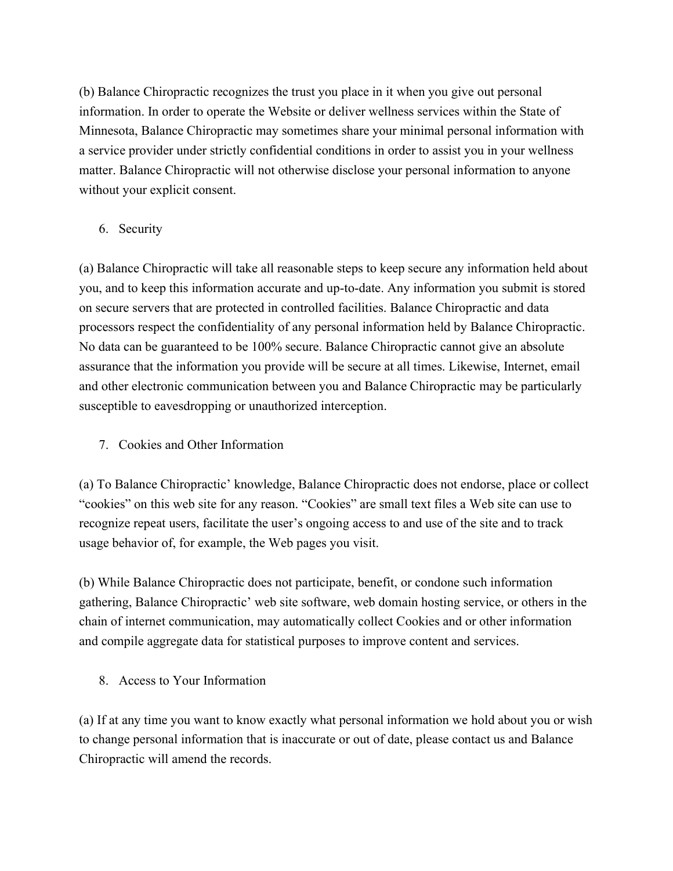(b) Balance Chiropractic recognizes the trust you place in it when you give out personal information. In order to operate the Website or deliver wellness services within the State of Minnesota, Balance Chiropractic may sometimes share your minimal personal information with a service provider under strictly confidential conditions in order to assist you in your wellness matter. Balance Chiropractic will not otherwise disclose your personal information to anyone without your explicit consent.

## 6. Security

(a) Balance Chiropractic will take all reasonable steps to keep secure any information held about you, and to keep this information accurate and up-to-date. Any information you submit is stored on secure servers that are protected in controlled facilities. Balance Chiropractic and data processors respect the confidentiality of any personal information held by Balance Chiropractic. No data can be guaranteed to be 100% secure. Balance Chiropractic cannot give an absolute assurance that the information you provide will be secure at all times. Likewise, Internet, email and other electronic communication between you and Balance Chiropractic may be particularly susceptible to eavesdropping or unauthorized interception.

7. Cookies and Other Information

(a) To Balance Chiropractic' knowledge, Balance Chiropractic does not endorse, place or collect "cookies" on this web site for any reason. "Cookies" are small text files a Web site can use to recognize repeat users, facilitate the user's ongoing access to and use of the site and to track usage behavior of, for example, the Web pages you visit.

(b) While Balance Chiropractic does not participate, benefit, or condone such information gathering, Balance Chiropractic' web site software, web domain hosting service, or others in the chain of internet communication, may automatically collect Cookies and or other information and compile aggregate data for statistical purposes to improve content and services.

8. Access to Your Information

(a) If at any time you want to know exactly what personal information we hold about you or wish to change personal information that is inaccurate or out of date, please contact us and Balance Chiropractic will amend the records.